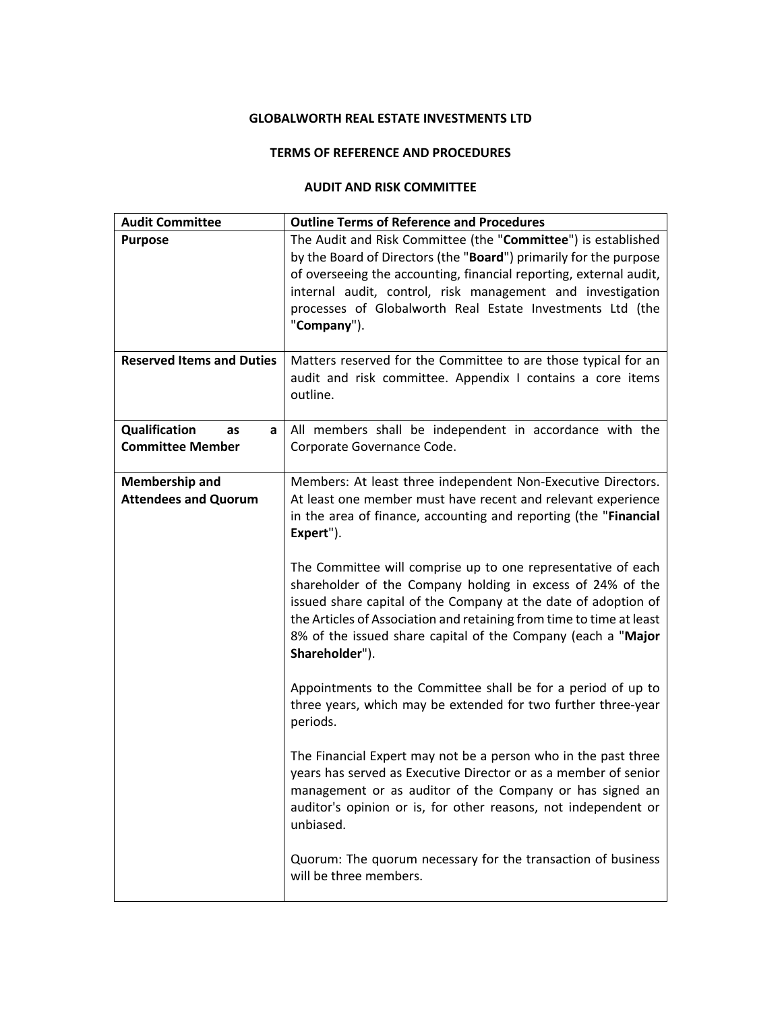## **GLOBALWORTH REAL ESTATE INVESTMENTS LTD**

#### **TERMS OF REFERENCE AND PROCEDURES**

#### **AUDIT AND RISK COMMITTEE**

| <b>Audit Committee</b>                               | <b>Outline Terms of Reference and Procedures</b>                                                                                                                                                                                                                                                                                                       |
|------------------------------------------------------|--------------------------------------------------------------------------------------------------------------------------------------------------------------------------------------------------------------------------------------------------------------------------------------------------------------------------------------------------------|
| <b>Purpose</b>                                       | The Audit and Risk Committee (the "Committee") is established<br>by the Board of Directors (the "Board") primarily for the purpose<br>of overseeing the accounting, financial reporting, external audit,<br>internal audit, control, risk management and investigation<br>processes of Globalworth Real Estate Investments Ltd (the<br>"Company").     |
| <b>Reserved Items and Duties</b>                     | Matters reserved for the Committee to are those typical for an<br>audit and risk committee. Appendix I contains a core items<br>outline.                                                                                                                                                                                                               |
| Qualification<br>as<br>a<br><b>Committee Member</b>  | All members shall be independent in accordance with the<br>Corporate Governance Code.                                                                                                                                                                                                                                                                  |
| <b>Membership and</b><br><b>Attendees and Quorum</b> | Members: At least three independent Non-Executive Directors.<br>At least one member must have recent and relevant experience<br>in the area of finance, accounting and reporting (the "Financial<br>Expert").                                                                                                                                          |
|                                                      | The Committee will comprise up to one representative of each<br>shareholder of the Company holding in excess of 24% of the<br>issued share capital of the Company at the date of adoption of<br>the Articles of Association and retaining from time to time at least<br>8% of the issued share capital of the Company (each a "Major<br>Shareholder"). |
|                                                      | Appointments to the Committee shall be for a period of up to<br>three years, which may be extended for two further three-year<br>periods.                                                                                                                                                                                                              |
|                                                      | The Financial Expert may not be a person who in the past three<br>years has served as Executive Director or as a member of senior<br>management or as auditor of the Company or has signed an<br>auditor's opinion or is, for other reasons, not independent or<br>unbiased.                                                                           |
|                                                      | Quorum: The quorum necessary for the transaction of business<br>will be three members.                                                                                                                                                                                                                                                                 |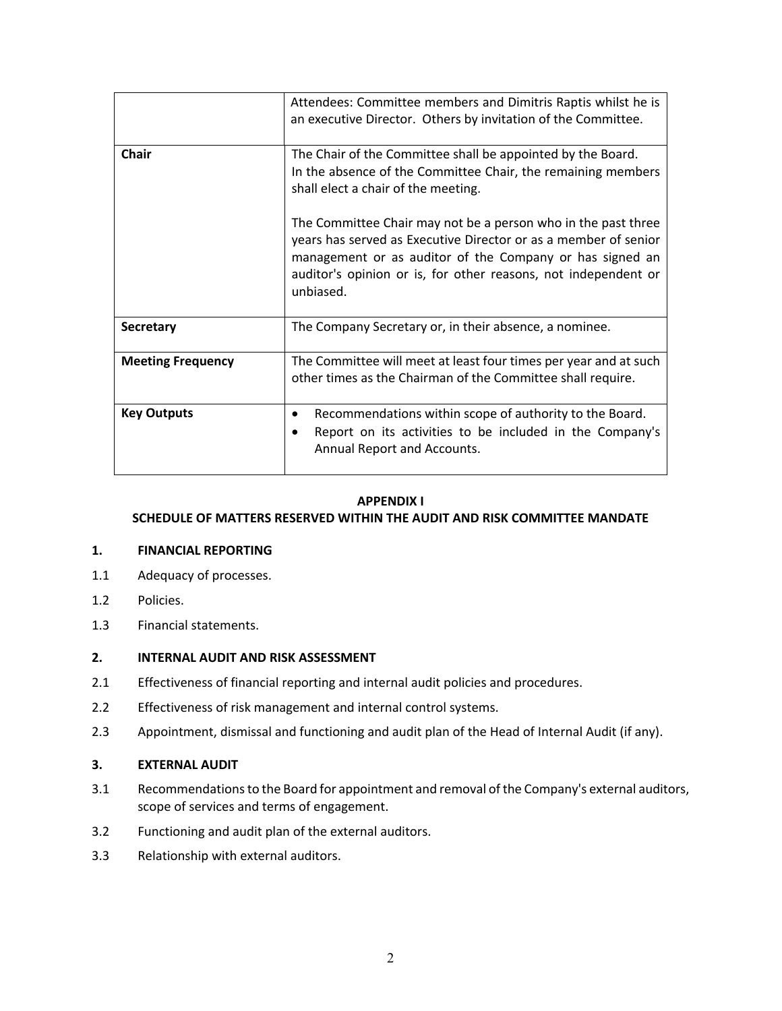|                          | Attendees: Committee members and Dimitris Raptis whilst he is<br>an executive Director. Others by invitation of the Committee.                                                                                                                                              |
|--------------------------|-----------------------------------------------------------------------------------------------------------------------------------------------------------------------------------------------------------------------------------------------------------------------------|
| Chair                    | The Chair of the Committee shall be appointed by the Board.<br>In the absence of the Committee Chair, the remaining members<br>shall elect a chair of the meeting.                                                                                                          |
|                          | The Committee Chair may not be a person who in the past three<br>years has served as Executive Director or as a member of senior<br>management or as auditor of the Company or has signed an<br>auditor's opinion or is, for other reasons, not independent or<br>unbiased. |
| Secretary                | The Company Secretary or, in their absence, a nominee.                                                                                                                                                                                                                      |
| <b>Meeting Frequency</b> | The Committee will meet at least four times per year and at such<br>other times as the Chairman of the Committee shall require.                                                                                                                                             |
| <b>Key Outputs</b>       | Recommendations within scope of authority to the Board.<br>٠<br>Report on its activities to be included in the Company's<br>Annual Report and Accounts.                                                                                                                     |

## **APPENDIX I**

# **SCHEDULE OF MATTERS RESERVED WITHIN THE AUDIT AND RISK COMMITTEE MANDATE**

#### **1. FINANCIAL REPORTING**

- 1.1 Adequacy of processes.
- 1.2 Policies.
- 1.3 Financial statements.

# **2. INTERNAL AUDIT AND RISK ASSESSMENT**

- 2.1 Effectiveness of financial reporting and internal audit policies and procedures.
- 2.2 Effectiveness of risk management and internal control systems.
- 2.3 Appointment, dismissal and functioning and audit plan of the Head of Internal Audit (if any).

#### **3. EXTERNAL AUDIT**

- 3.1 Recommendations to the Board for appointment and removal of the Company's external auditors, scope of services and terms of engagement.
- 3.2 Functioning and audit plan of the external auditors.
- 3.3 Relationship with external auditors.